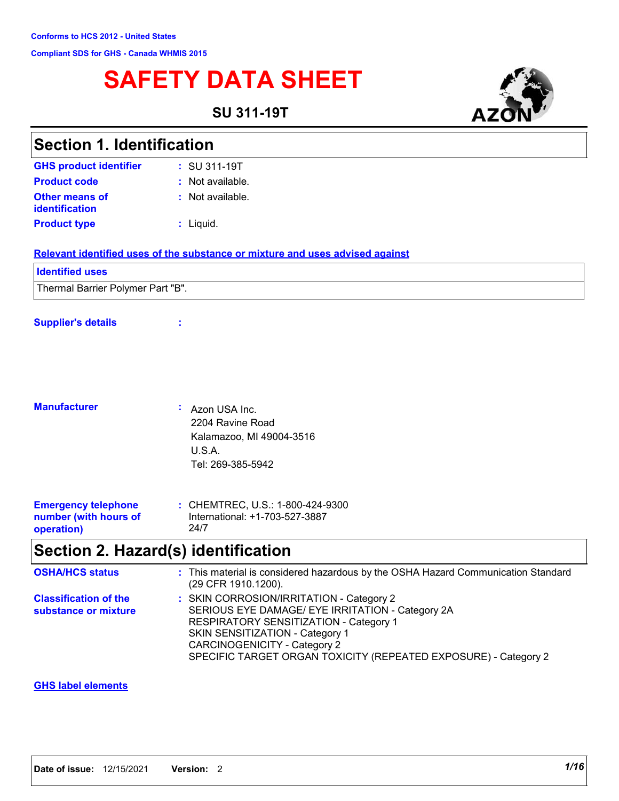# **SAFETY DATA SHEET**

**SU 311-19T**



| <b>Section 1. Identification</b>                                  |                                                                                                                                                                                                                                                                              |
|-------------------------------------------------------------------|------------------------------------------------------------------------------------------------------------------------------------------------------------------------------------------------------------------------------------------------------------------------------|
| <b>GHS product identifier</b>                                     | : SU 311-19T                                                                                                                                                                                                                                                                 |
| <b>Product code</b>                                               | : Not available.                                                                                                                                                                                                                                                             |
| <b>Other means of</b><br>identification                           | : Not available.                                                                                                                                                                                                                                                             |
| <b>Product type</b>                                               | : Liquid.                                                                                                                                                                                                                                                                    |
|                                                                   | Relevant identified uses of the substance or mixture and uses advised against                                                                                                                                                                                                |
| <b>Identified uses</b>                                            |                                                                                                                                                                                                                                                                              |
| Thermal Barrier Polymer Part "B".                                 |                                                                                                                                                                                                                                                                              |
| <b>Supplier's details</b>                                         |                                                                                                                                                                                                                                                                              |
| <b>Manufacturer</b>                                               | Azon USA Inc.<br>2204 Ravine Road<br>Kalamazoo, MI 49004-3516                                                                                                                                                                                                                |
|                                                                   | U.S.A.<br>Tel: 269-385-5942                                                                                                                                                                                                                                                  |
| <b>Emergency telephone</b><br>number (with hours of<br>operation) | : CHEMTREC, U.S.: 1-800-424-9300<br>International: +1-703-527-3887<br>24/7                                                                                                                                                                                                   |
|                                                                   | Section 2. Hazard(s) identification                                                                                                                                                                                                                                          |
| <b>OSHA/HCS status</b>                                            | : This material is considered hazardous by the OSHA Hazard Communication Standard<br>(29 CFR 1910.1200).                                                                                                                                                                     |
| <b>Classification of the</b><br>substance or mixture              | : SKIN CORROSION/IRRITATION - Category 2<br>SERIOUS EYE DAMAGE/ EYE IRRITATION - Category 2A<br>RESPIRATORY SENSITIZATION - Category 1<br>SKIN SENSITIZATION - Category 1<br>CARCINOGENICITY - Category 2<br>SPECIFIC TARGET ORGAN TOXICITY (REPEATED EXPOSURE) - Category 2 |

### **GHS label elements**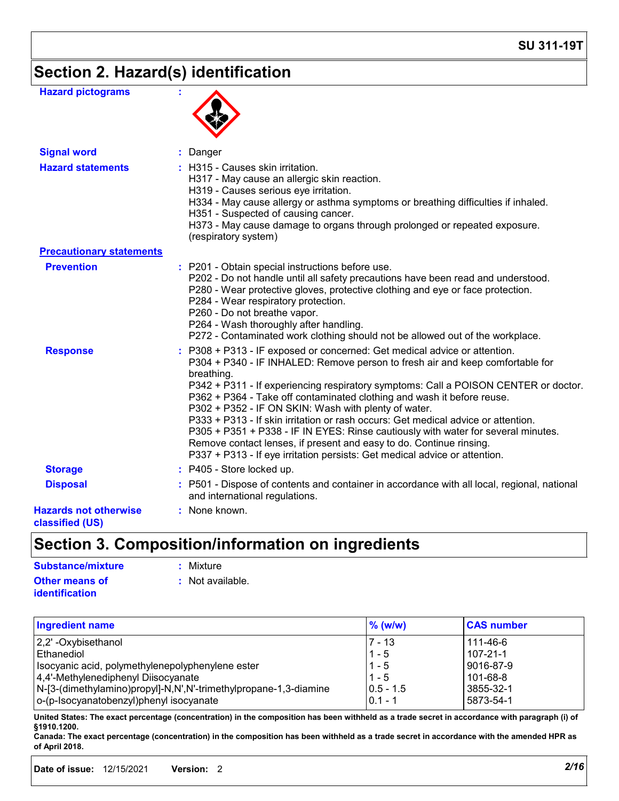# **Section 2. Hazard(s) identification**

| <b>Hazard pictograms</b>                        |                                                                                                                                                                                                                                                                                                                                                                                                                                                                                                                                                                                                                                                                                                                                  |
|-------------------------------------------------|----------------------------------------------------------------------------------------------------------------------------------------------------------------------------------------------------------------------------------------------------------------------------------------------------------------------------------------------------------------------------------------------------------------------------------------------------------------------------------------------------------------------------------------------------------------------------------------------------------------------------------------------------------------------------------------------------------------------------------|
| <b>Signal word</b>                              | : Danger                                                                                                                                                                                                                                                                                                                                                                                                                                                                                                                                                                                                                                                                                                                         |
| <b>Hazard statements</b>                        | : H315 - Causes skin irritation.<br>H317 - May cause an allergic skin reaction.<br>H319 - Causes serious eye irritation.<br>H334 - May cause allergy or asthma symptoms or breathing difficulties if inhaled.<br>H351 - Suspected of causing cancer.<br>H373 - May cause damage to organs through prolonged or repeated exposure.<br>(respiratory system)                                                                                                                                                                                                                                                                                                                                                                        |
| <b>Precautionary statements</b>                 |                                                                                                                                                                                                                                                                                                                                                                                                                                                                                                                                                                                                                                                                                                                                  |
| <b>Prevention</b>                               | : P201 - Obtain special instructions before use.<br>P202 - Do not handle until all safety precautions have been read and understood.<br>P280 - Wear protective gloves, protective clothing and eye or face protection.<br>P284 - Wear respiratory protection.<br>P260 - Do not breathe vapor.<br>P264 - Wash thoroughly after handling.<br>P272 - Contaminated work clothing should not be allowed out of the workplace.                                                                                                                                                                                                                                                                                                         |
| <b>Response</b>                                 | : P308 + P313 - IF exposed or concerned: Get medical advice or attention.<br>P304 + P340 - IF INHALED: Remove person to fresh air and keep comfortable for<br>breathing.<br>P342 + P311 - If experiencing respiratory symptoms: Call a POISON CENTER or doctor.<br>P362 + P364 - Take off contaminated clothing and wash it before reuse.<br>P302 + P352 - IF ON SKIN: Wash with plenty of water.<br>P333 + P313 - If skin irritation or rash occurs: Get medical advice or attention.<br>P305 + P351 + P338 - IF IN EYES: Rinse cautiously with water for several minutes.<br>Remove contact lenses, if present and easy to do. Continue rinsing.<br>P337 + P313 - If eye irritation persists: Get medical advice or attention. |
| <b>Storage</b>                                  | : P405 - Store locked up.                                                                                                                                                                                                                                                                                                                                                                                                                                                                                                                                                                                                                                                                                                        |
| <b>Disposal</b>                                 | : P501 - Dispose of contents and container in accordance with all local, regional, national<br>and international regulations.                                                                                                                                                                                                                                                                                                                                                                                                                                                                                                                                                                                                    |
| <b>Hazards not otherwise</b><br>classified (US) | : None known.                                                                                                                                                                                                                                                                                                                                                                                                                                                                                                                                                                                                                                                                                                                    |

# **Section 3. Composition/information on ingredients**

| Substance/mixture                              | : Mixture          |
|------------------------------------------------|--------------------|
| <b>Other means of</b><br><i>identification</i> | $:$ Not available. |
|                                                |                    |

| <b>Ingredient name</b>                                           | $%$ (w/w)     | <b>CAS number</b> |
|------------------------------------------------------------------|---------------|-------------------|
| 2,2' -Oxybisethanol                                              | $7 - 13$      | 111-46-6          |
| <b>Ethanediol</b>                                                | $1 - 5$       | 107-21-1          |
| Isocyanic acid, polymethylenepolyphenylene ester                 | $1 - 5$       | 9016-87-9         |
| 4,4'-Methylenediphenyl Diisocyanate                              | $1 - 5$       | 101-68-8          |
| N-[3-(dimethylamino)propyl]-N,N',N'-trimethylpropane-1,3-diamine | $ 0.5 - 1.5 $ | 3855-32-1         |
| o-(p-Isocyanatobenzyl)phenyl isocyanate                          | $0.1 - 1$     | 5873-54-1         |

**United States: The exact percentage (concentration) in the composition has been withheld as a trade secret in accordance with paragraph (i) of §1910.1200.**

**Canada: The exact percentage (concentration) in the composition has been withheld as a trade secret in accordance with the amended HPR as of April 2018.**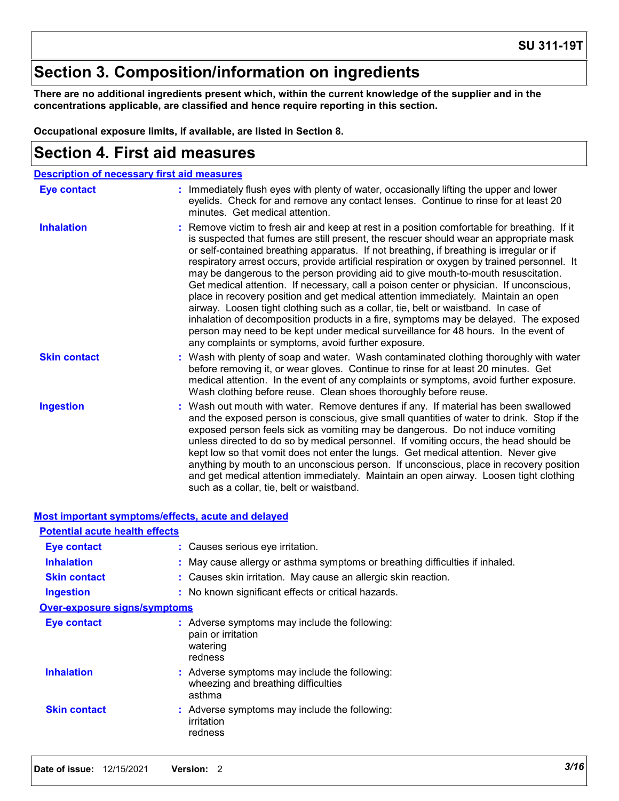### **Section 3. Composition/information on ingredients**

**There are no additional ingredients present which, within the current knowledge of the supplier and in the concentrations applicable, are classified and hence require reporting in this section.**

**Occupational exposure limits, if available, are listed in Section 8.**

### **Section 4. First aid measures**

| <b>Description of necessary first aid measures</b> |                                                                                                                                                                                                                                                                                                                                                                                                                                                                                                                                                                                                                                                                                                                                                                                                                                                                                                                                                                                       |
|----------------------------------------------------|---------------------------------------------------------------------------------------------------------------------------------------------------------------------------------------------------------------------------------------------------------------------------------------------------------------------------------------------------------------------------------------------------------------------------------------------------------------------------------------------------------------------------------------------------------------------------------------------------------------------------------------------------------------------------------------------------------------------------------------------------------------------------------------------------------------------------------------------------------------------------------------------------------------------------------------------------------------------------------------|
| <b>Eye contact</b>                                 | : Immediately flush eyes with plenty of water, occasionally lifting the upper and lower<br>eyelids. Check for and remove any contact lenses. Continue to rinse for at least 20<br>minutes. Get medical attention.                                                                                                                                                                                                                                                                                                                                                                                                                                                                                                                                                                                                                                                                                                                                                                     |
| <b>Inhalation</b>                                  | : Remove victim to fresh air and keep at rest in a position comfortable for breathing. If it<br>is suspected that fumes are still present, the rescuer should wear an appropriate mask<br>or self-contained breathing apparatus. If not breathing, if breathing is irregular or if<br>respiratory arrest occurs, provide artificial respiration or oxygen by trained personnel. It<br>may be dangerous to the person providing aid to give mouth-to-mouth resuscitation.<br>Get medical attention. If necessary, call a poison center or physician. If unconscious,<br>place in recovery position and get medical attention immediately. Maintain an open<br>airway. Loosen tight clothing such as a collar, tie, belt or waistband. In case of<br>inhalation of decomposition products in a fire, symptoms may be delayed. The exposed<br>person may need to be kept under medical surveillance for 48 hours. In the event of<br>any complaints or symptoms, avoid further exposure. |
| <b>Skin contact</b>                                | : Wash with plenty of soap and water. Wash contaminated clothing thoroughly with water<br>before removing it, or wear gloves. Continue to rinse for at least 20 minutes. Get<br>medical attention. In the event of any complaints or symptoms, avoid further exposure.<br>Wash clothing before reuse. Clean shoes thoroughly before reuse.                                                                                                                                                                                                                                                                                                                                                                                                                                                                                                                                                                                                                                            |
| <b>Ingestion</b>                                   | : Wash out mouth with water. Remove dentures if any. If material has been swallowed<br>and the exposed person is conscious, give small quantities of water to drink. Stop if the<br>exposed person feels sick as vomiting may be dangerous. Do not induce vomiting<br>unless directed to do so by medical personnel. If vomiting occurs, the head should be<br>kept low so that vomit does not enter the lungs. Get medical attention. Never give<br>anything by mouth to an unconscious person. If unconscious, place in recovery position<br>and get medical attention immediately. Maintain an open airway. Loosen tight clothing<br>such as a collar, tie, belt or waistband.                                                                                                                                                                                                                                                                                                     |

|                                       | <u>Most important symptoms/effects, acute and delayed</u>                                      |
|---------------------------------------|------------------------------------------------------------------------------------------------|
| <b>Potential acute health effects</b> |                                                                                                |
| Eye contact                           | : Causes serious eye irritation.                                                               |
| <b>Inhalation</b>                     | : May cause allergy or asthma symptoms or breathing difficulties if inhaled.                   |
| <b>Skin contact</b>                   | : Causes skin irritation. May cause an allergic skin reaction.                                 |
| <b>Ingestion</b>                      | : No known significant effects or critical hazards.                                            |
| <b>Over-exposure signs/symptoms</b>   |                                                                                                |
| Eye contact                           | : Adverse symptoms may include the following:<br>pain or irritation<br>watering<br>redness     |
| <b>Inhalation</b>                     | : Adverse symptoms may include the following:<br>wheezing and breathing difficulties<br>asthma |
| <b>Skin contact</b>                   | : Adverse symptoms may include the following:<br>irritation<br>redness                         |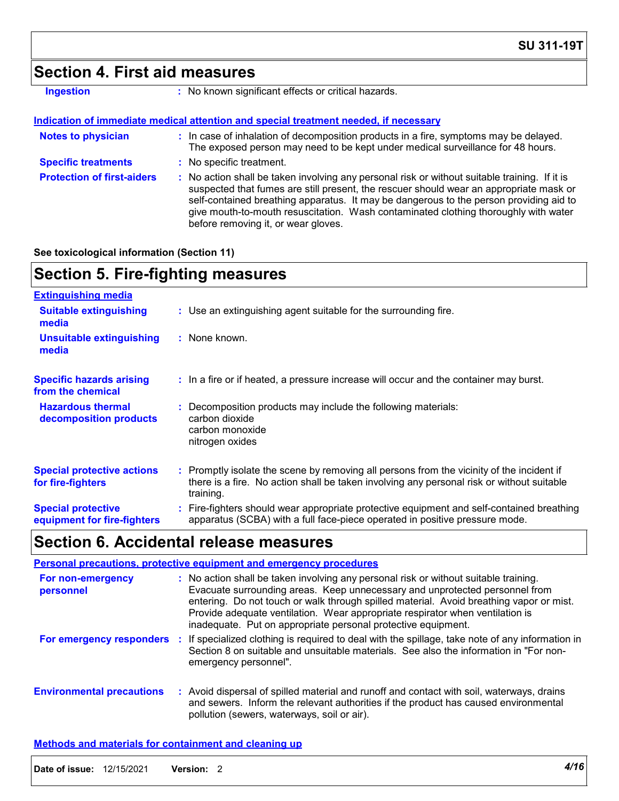### **Section 4. First aid measures**

| Ingestion |  |  |  |
|-----------|--|--|--|
|           |  |  |  |

**:** No known significant effects or critical hazards.

#### **Indication of immediate medical attention and special treatment needed, if necessary**

| <b>Notes to physician</b>         | : In case of inhalation of decomposition products in a fire, symptoms may be delayed.<br>The exposed person may need to be kept under medical surveillance for 48 hours.                                                                                                                                                                                                                                        |
|-----------------------------------|-----------------------------------------------------------------------------------------------------------------------------------------------------------------------------------------------------------------------------------------------------------------------------------------------------------------------------------------------------------------------------------------------------------------|
| <b>Specific treatments</b>        | : No specific treatment.                                                                                                                                                                                                                                                                                                                                                                                        |
| <b>Protection of first-aiders</b> | : No action shall be taken involving any personal risk or without suitable training. If it is<br>suspected that fumes are still present, the rescuer should wear an appropriate mask or<br>self-contained breathing apparatus. It may be dangerous to the person providing aid to<br>give mouth-to-mouth resuscitation. Wash contaminated clothing thoroughly with water<br>before removing it, or wear gloves. |

#### **See toxicological information (Section 11)**

### **Section 5. Fire-fighting measures**

| <b>Extinguishing media</b>                               |                                                                                                                                                                                                     |
|----------------------------------------------------------|-----------------------------------------------------------------------------------------------------------------------------------------------------------------------------------------------------|
| <b>Suitable extinguishing</b><br>media                   | : Use an extinguishing agent suitable for the surrounding fire.                                                                                                                                     |
| <b>Unsuitable extinguishing</b><br>media                 | : None known.                                                                                                                                                                                       |
| <b>Specific hazards arising</b><br>from the chemical     | : In a fire or if heated, a pressure increase will occur and the container may burst.                                                                                                               |
| <b>Hazardous thermal</b><br>decomposition products       | Decomposition products may include the following materials:<br>carbon dioxide<br>carbon monoxide<br>nitrogen oxides                                                                                 |
| <b>Special protective actions</b><br>for fire-fighters   | : Promptly isolate the scene by removing all persons from the vicinity of the incident if<br>there is a fire. No action shall be taken involving any personal risk or without suitable<br>training. |
| <b>Special protective</b><br>equipment for fire-fighters | Fire-fighters should wear appropriate protective equipment and self-contained breathing<br>apparatus (SCBA) with a full face-piece operated in positive pressure mode.                              |

### **Section 6. Accidental release measures**

|                                  | <b>Personal precautions, protective equipment and emergency procedures</b>                                                                                                                                                                                                                                                                                                                                       |
|----------------------------------|------------------------------------------------------------------------------------------------------------------------------------------------------------------------------------------------------------------------------------------------------------------------------------------------------------------------------------------------------------------------------------------------------------------|
| For non-emergency<br>personnel   | : No action shall be taken involving any personal risk or without suitable training.<br>Evacuate surrounding areas. Keep unnecessary and unprotected personnel from<br>entering. Do not touch or walk through spilled material. Avoid breathing vapor or mist.<br>Provide adequate ventilation. Wear appropriate respirator when ventilation is<br>inadequate. Put on appropriate personal protective equipment. |
| For emergency responders         | : If specialized clothing is required to deal with the spillage, take note of any information in<br>Section 8 on suitable and unsuitable materials. See also the information in "For non-<br>emergency personnel".                                                                                                                                                                                               |
| <b>Environmental precautions</b> | : Avoid dispersal of spilled material and runoff and contact with soil, waterways, drains<br>and sewers. Inform the relevant authorities if the product has caused environmental<br>pollution (sewers, waterways, soil or air).                                                                                                                                                                                  |

#### **Methods and materials for containment and cleaning up**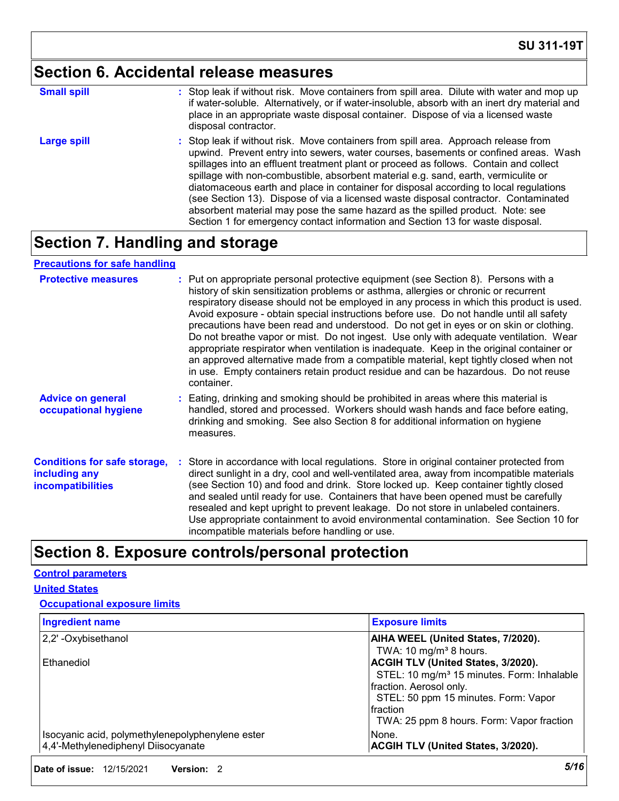# **Section 6. Accidental release measures**

| <b>Small spill</b> | : Stop leak if without risk. Move containers from spill area. Dilute with water and mop up<br>if water-soluble. Alternatively, or if water-insoluble, absorb with an inert dry material and<br>place in an appropriate waste disposal container. Dispose of via a licensed waste<br>disposal contractor.                                                                                                                                                                                                                                                                                                                                                                                                     |
|--------------------|--------------------------------------------------------------------------------------------------------------------------------------------------------------------------------------------------------------------------------------------------------------------------------------------------------------------------------------------------------------------------------------------------------------------------------------------------------------------------------------------------------------------------------------------------------------------------------------------------------------------------------------------------------------------------------------------------------------|
| <b>Large spill</b> | : Stop leak if without risk. Move containers from spill area. Approach release from<br>upwind. Prevent entry into sewers, water courses, basements or confined areas. Wash<br>spillages into an effluent treatment plant or proceed as follows. Contain and collect<br>spillage with non-combustible, absorbent material e.g. sand, earth, vermiculite or<br>diatomaceous earth and place in container for disposal according to local regulations<br>(see Section 13). Dispose of via a licensed waste disposal contractor. Contaminated<br>absorbent material may pose the same hazard as the spilled product. Note: see<br>Section 1 for emergency contact information and Section 13 for waste disposal. |

### **Section 7. Handling and storage**

### **Precautions for safe handling**

| <b>Protective measures</b>                                                       | : Put on appropriate personal protective equipment (see Section 8). Persons with a<br>history of skin sensitization problems or asthma, allergies or chronic or recurrent<br>respiratory disease should not be employed in any process in which this product is used.<br>Avoid exposure - obtain special instructions before use. Do not handle until all safety<br>precautions have been read and understood. Do not get in eyes or on skin or clothing.<br>Do not breathe vapor or mist. Do not ingest. Use only with adequate ventilation. Wear<br>appropriate respirator when ventilation is inadequate. Keep in the original container or<br>an approved alternative made from a compatible material, kept tightly closed when not<br>in use. Empty containers retain product residue and can be hazardous. Do not reuse<br>container. |
|----------------------------------------------------------------------------------|---------------------------------------------------------------------------------------------------------------------------------------------------------------------------------------------------------------------------------------------------------------------------------------------------------------------------------------------------------------------------------------------------------------------------------------------------------------------------------------------------------------------------------------------------------------------------------------------------------------------------------------------------------------------------------------------------------------------------------------------------------------------------------------------------------------------------------------------|
| <b>Advice on general</b><br>occupational hygiene                                 | : Eating, drinking and smoking should be prohibited in areas where this material is<br>handled, stored and processed. Workers should wash hands and face before eating,<br>drinking and smoking. See also Section 8 for additional information on hygiene<br>measures.                                                                                                                                                                                                                                                                                                                                                                                                                                                                                                                                                                      |
| <b>Conditions for safe storage,</b><br>including any<br><b>incompatibilities</b> | Store in accordance with local regulations. Store in original container protected from<br>direct sunlight in a dry, cool and well-ventilated area, away from incompatible materials<br>(see Section 10) and food and drink. Store locked up. Keep container tightly closed<br>and sealed until ready for use. Containers that have been opened must be carefully<br>resealed and kept upright to prevent leakage. Do not store in unlabeled containers.<br>Use appropriate containment to avoid environmental contamination. See Section 10 for<br>incompatible materials before handling or use.                                                                                                                                                                                                                                           |

### **Section 8. Exposure controls/personal protection**

#### **Control parameters**

#### **United States**

#### **Occupational exposure limits**

| <b>Ingredient name</b>                           | <b>Exposure limits</b>                                 |
|--------------------------------------------------|--------------------------------------------------------|
| 2,2' - Oxybisethanol                             | AIHA WEEL (United States, 7/2020).                     |
|                                                  | TWA: 10 mg/m <sup>3</sup> 8 hours.                     |
| Ethanediol                                       | <b>ACGIH TLV (United States, 3/2020).</b>              |
|                                                  | STEL: 10 mg/m <sup>3</sup> 15 minutes. Form: Inhalable |
|                                                  | fraction. Aerosol only.                                |
|                                                  | STEL: 50 ppm 15 minutes. Form: Vapor                   |
|                                                  | Ifraction                                              |
|                                                  | TWA: 25 ppm 8 hours. Form: Vapor fraction              |
| Isocyanic acid, polymethylenepolyphenylene ester | None.                                                  |
| 4,4'-Methylenediphenyl Diisocyanate              | <b>ACGIH TLV (United States, 3/2020).</b>              |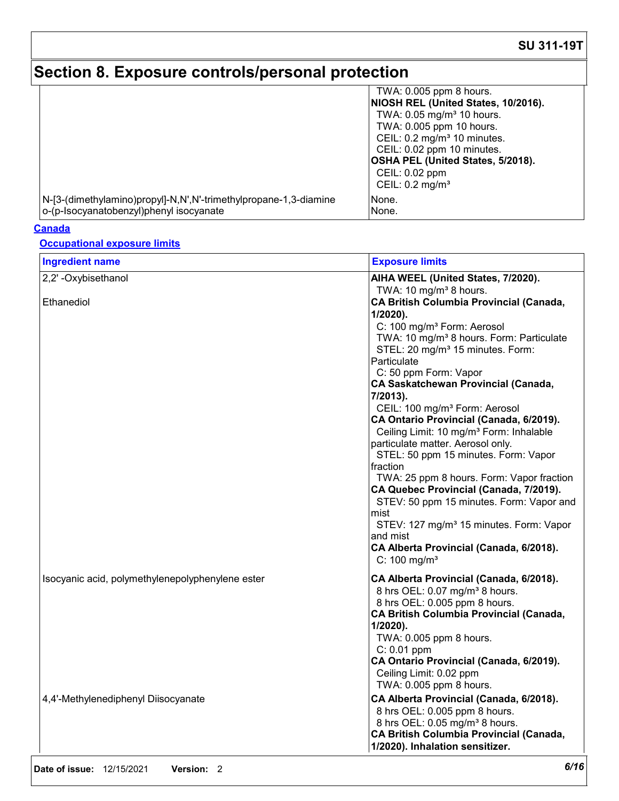# **Section 8. Exposure controls/personal protection**

|                                                                  | TWA: 0.005 ppm 8 hours.                  |
|------------------------------------------------------------------|------------------------------------------|
|                                                                  | NIOSH REL (United States, 10/2016).      |
|                                                                  | TWA: 0.05 mg/m <sup>3</sup> 10 hours.    |
|                                                                  | TWA: 0.005 ppm 10 hours.                 |
|                                                                  | CEIL: 0.2 mg/m <sup>3</sup> 10 minutes.  |
|                                                                  | CEIL: 0.02 ppm 10 minutes.               |
|                                                                  | <b>OSHA PEL (United States, 5/2018).</b> |
|                                                                  | CEIL: 0.02 ppm                           |
|                                                                  | CEIL: $0.2 \text{ mg/m}^3$               |
| N-[3-(dimethylamino)propyl]-N,N',N'-trimethylpropane-1,3-diamine | None.                                    |
| o-(p-Isocyanatobenzyl)phenyl isocyanate                          | None.                                    |

#### **Canada**

### **Occupational exposure limits**

| <b>Ingredient name</b>                           | <b>Exposure limits</b>                                                                                                                                                                                                                                                                                                                                                                                                                                                                                                                                                                                                                                                                                                                                                                                                                                                              |
|--------------------------------------------------|-------------------------------------------------------------------------------------------------------------------------------------------------------------------------------------------------------------------------------------------------------------------------------------------------------------------------------------------------------------------------------------------------------------------------------------------------------------------------------------------------------------------------------------------------------------------------------------------------------------------------------------------------------------------------------------------------------------------------------------------------------------------------------------------------------------------------------------------------------------------------------------|
| 2,2' - Oxybisethanol                             | AIHA WEEL (United States, 7/2020).                                                                                                                                                                                                                                                                                                                                                                                                                                                                                                                                                                                                                                                                                                                                                                                                                                                  |
| Ethanediol                                       | TWA: 10 mg/m <sup>3</sup> 8 hours.<br><b>CA British Columbia Provincial (Canada,</b><br>1/2020).<br>C: 100 mg/m <sup>3</sup> Form: Aerosol<br>TWA: 10 mg/m <sup>3</sup> 8 hours. Form: Particulate<br>STEL: 20 mg/m <sup>3</sup> 15 minutes. Form:<br>Particulate<br>C: 50 ppm Form: Vapor<br><b>CA Saskatchewan Provincial (Canada,</b><br>7/2013).<br>CEIL: 100 mg/m <sup>3</sup> Form: Aerosol<br>CA Ontario Provincial (Canada, 6/2019).<br>Ceiling Limit: 10 mg/m <sup>3</sup> Form: Inhalable<br>particulate matter. Aerosol only.<br>STEL: 50 ppm 15 minutes. Form: Vapor<br>fraction<br>TWA: 25 ppm 8 hours. Form: Vapor fraction<br>CA Quebec Provincial (Canada, 7/2019).<br>STEV: 50 ppm 15 minutes. Form: Vapor and<br>mist<br>STEV: 127 mg/m <sup>3</sup> 15 minutes. Form: Vapor<br>and mist<br>CA Alberta Provincial (Canada, 6/2018).<br>$C: 100$ mg/m <sup>3</sup> |
| Isocyanic acid, polymethylenepolyphenylene ester | CA Alberta Provincial (Canada, 6/2018).<br>8 hrs OEL: 0.07 mg/m <sup>3</sup> 8 hours.<br>8 hrs OEL: 0.005 ppm 8 hours.<br><b>CA British Columbia Provincial (Canada,</b><br>$1/2020$ ).<br>TWA: 0.005 ppm 8 hours.<br>$C: 0.01$ ppm<br>CA Ontario Provincial (Canada, 6/2019).<br>Ceiling Limit: 0.02 ppm<br>TWA: 0.005 ppm 8 hours.                                                                                                                                                                                                                                                                                                                                                                                                                                                                                                                                                |
| 4,4'-Methylenediphenyl Diisocyanate              | CA Alberta Provincial (Canada, 6/2018).<br>8 hrs OEL: 0.005 ppm 8 hours.<br>8 hrs OEL: 0.05 mg/m <sup>3</sup> 8 hours.<br><b>CA British Columbia Provincial (Canada,</b><br>1/2020). Inhalation sensitizer.                                                                                                                                                                                                                                                                                                                                                                                                                                                                                                                                                                                                                                                                         |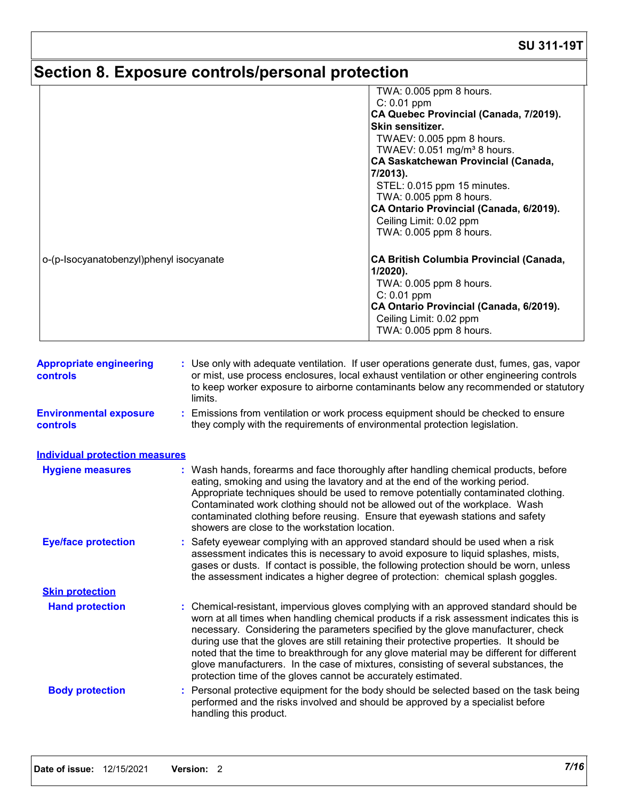# **Section 8. Exposure controls/personal protection**

|                                                                                                                      |                        | TWA: 0.005 ppm 8 hours.                                                                                                                                                                                                                                                                                                                                                                                                                                                                                                                                                                                                |
|----------------------------------------------------------------------------------------------------------------------|------------------------|------------------------------------------------------------------------------------------------------------------------------------------------------------------------------------------------------------------------------------------------------------------------------------------------------------------------------------------------------------------------------------------------------------------------------------------------------------------------------------------------------------------------------------------------------------------------------------------------------------------------|
|                                                                                                                      |                        | $C: 0.01$ ppm                                                                                                                                                                                                                                                                                                                                                                                                                                                                                                                                                                                                          |
|                                                                                                                      |                        | CA Quebec Provincial (Canada, 7/2019).                                                                                                                                                                                                                                                                                                                                                                                                                                                                                                                                                                                 |
|                                                                                                                      |                        | Skin sensitizer.                                                                                                                                                                                                                                                                                                                                                                                                                                                                                                                                                                                                       |
|                                                                                                                      |                        | TWAEV: 0.005 ppm 8 hours.<br>TWAEV: 0.051 mg/m <sup>3</sup> 8 hours.                                                                                                                                                                                                                                                                                                                                                                                                                                                                                                                                                   |
|                                                                                                                      |                        | <b>CA Saskatchewan Provincial (Canada,</b>                                                                                                                                                                                                                                                                                                                                                                                                                                                                                                                                                                             |
|                                                                                                                      |                        | 7/2013).                                                                                                                                                                                                                                                                                                                                                                                                                                                                                                                                                                                                               |
|                                                                                                                      |                        | STEL: 0.015 ppm 15 minutes.                                                                                                                                                                                                                                                                                                                                                                                                                                                                                                                                                                                            |
|                                                                                                                      |                        | TWA: 0.005 ppm 8 hours.                                                                                                                                                                                                                                                                                                                                                                                                                                                                                                                                                                                                |
|                                                                                                                      |                        | CA Ontario Provincial (Canada, 6/2019).                                                                                                                                                                                                                                                                                                                                                                                                                                                                                                                                                                                |
|                                                                                                                      |                        | Ceiling Limit: 0.02 ppm                                                                                                                                                                                                                                                                                                                                                                                                                                                                                                                                                                                                |
|                                                                                                                      |                        | TWA: 0.005 ppm 8 hours.                                                                                                                                                                                                                                                                                                                                                                                                                                                                                                                                                                                                |
| o-(p-Isocyanatobenzyl)phenyl isocyanate                                                                              |                        | <b>CA British Columbia Provincial (Canada,</b>                                                                                                                                                                                                                                                                                                                                                                                                                                                                                                                                                                         |
|                                                                                                                      |                        | $1/2020$ ).                                                                                                                                                                                                                                                                                                                                                                                                                                                                                                                                                                                                            |
|                                                                                                                      |                        | TWA: 0.005 ppm 8 hours.                                                                                                                                                                                                                                                                                                                                                                                                                                                                                                                                                                                                |
|                                                                                                                      |                        | $C: 0.01$ ppm<br>CA Ontario Provincial (Canada, 6/2019).                                                                                                                                                                                                                                                                                                                                                                                                                                                                                                                                                               |
|                                                                                                                      |                        | Ceiling Limit: 0.02 ppm                                                                                                                                                                                                                                                                                                                                                                                                                                                                                                                                                                                                |
|                                                                                                                      |                        | TWA: 0.005 ppm 8 hours.                                                                                                                                                                                                                                                                                                                                                                                                                                                                                                                                                                                                |
| <b>Environmental exposure</b><br><b>controls</b><br><b>Individual protection measures</b><br><b>Hygiene measures</b> | limits.                | : Emissions from ventilation or work process equipment should be checked to ensure<br>they comply with the requirements of environmental protection legislation.<br>: Wash hands, forearms and face thoroughly after handling chemical products, before                                                                                                                                                                                                                                                                                                                                                                |
|                                                                                                                      |                        | eating, smoking and using the lavatory and at the end of the working period.<br>Appropriate techniques should be used to remove potentially contaminated clothing.<br>Contaminated work clothing should not be allowed out of the workplace. Wash<br>contaminated clothing before reusing. Ensure that eyewash stations and safety<br>showers are close to the workstation location.                                                                                                                                                                                                                                   |
| <b>Eye/face protection</b>                                                                                           |                        | : Safety eyewear complying with an approved standard should be used when a risk<br>assessment indicates this is necessary to avoid exposure to liquid splashes, mists,<br>gases or dusts. If contact is possible, the following protection should be worn, unless<br>the assessment indicates a higher degree of protection: chemical splash goggles.                                                                                                                                                                                                                                                                  |
| <b>Skin protection</b>                                                                                               |                        |                                                                                                                                                                                                                                                                                                                                                                                                                                                                                                                                                                                                                        |
| <b>Hand protection</b>                                                                                               |                        | : Chemical-resistant, impervious gloves complying with an approved standard should be<br>worn at all times when handling chemical products if a risk assessment indicates this is<br>necessary. Considering the parameters specified by the glove manufacturer, check<br>during use that the gloves are still retaining their protective properties. It should be<br>noted that the time to breakthrough for any glove material may be different for different<br>glove manufacturers. In the case of mixtures, consisting of several substances, the<br>protection time of the gloves cannot be accurately estimated. |
| <b>Body protection</b>                                                                                               |                        | : Personal protective equipment for the body should be selected based on the task being                                                                                                                                                                                                                                                                                                                                                                                                                                                                                                                                |
|                                                                                                                      | handling this product. | performed and the risks involved and should be approved by a specialist before                                                                                                                                                                                                                                                                                                                                                                                                                                                                                                                                         |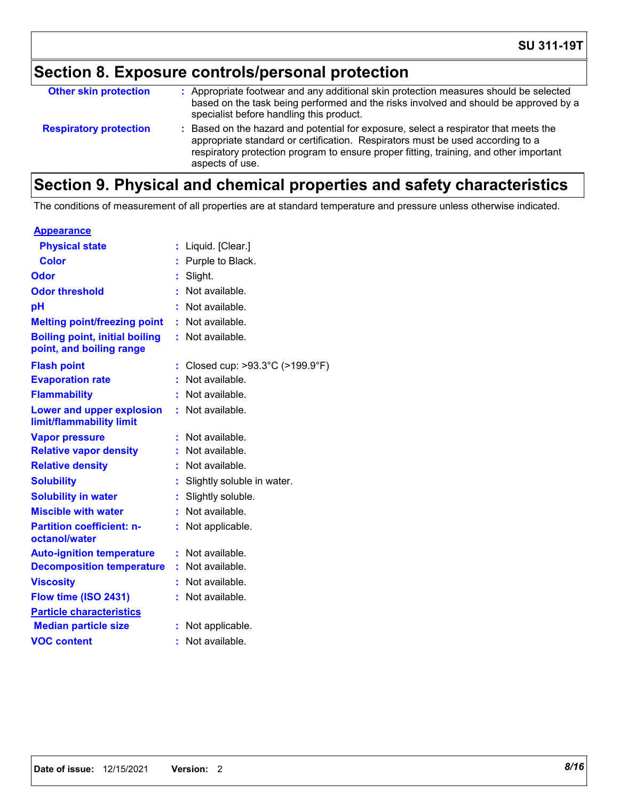# **Section 8. Exposure controls/personal protection**

| <b>Other skin protection</b>  | : Appropriate footwear and any additional skin protection measures should be selected<br>based on the task being performed and the risks involved and should be approved by a<br>specialist before handling this product.                                                           |
|-------------------------------|-------------------------------------------------------------------------------------------------------------------------------------------------------------------------------------------------------------------------------------------------------------------------------------|
| <b>Respiratory protection</b> | : Based on the hazard and potential for exposure, select a respirator that meets the<br>appropriate standard or certification. Respirators must be used according to a<br>respiratory protection program to ensure proper fitting, training, and other important<br>aspects of use. |

# **Section 9. Physical and chemical properties and safety characteristics**

The conditions of measurement of all properties are at standard temperature and pressure unless otherwise indicated.

| <u>Appearance</u>                                                 |    |                                |
|-------------------------------------------------------------------|----|--------------------------------|
| <b>Physical state</b>                                             | ÷. | Liquid. [Clear.]               |
| Color                                                             | t. | Purple to Black.               |
| Odor                                                              |    | Slight.                        |
| <b>Odor threshold</b>                                             | ŧ. | Not available.                 |
| pH                                                                |    | Not available.                 |
| <b>Melting point/freezing point</b>                               | ÷. | Not available.                 |
| <b>Boiling point, initial boiling</b><br>point, and boiling range | ÷. | Not available.                 |
| <b>Flash point</b>                                                |    | Closed cup: >93.3°C (>199.9°F) |
| <b>Evaporation rate</b>                                           |    | Not available.                 |
| <b>Flammability</b>                                               |    | Not available.                 |
| <b>Lower and upper explosion</b><br>limit/flammability limit      | t. | Not available.                 |
| <b>Vapor pressure</b>                                             | t. | Not available.                 |
| <b>Relative vapor density</b>                                     |    | Not available.                 |
| <b>Relative density</b>                                           | ÷. | Not available.                 |
| <b>Solubility</b>                                                 |    | Slightly soluble in water.     |
| <b>Solubility in water</b>                                        | ÷. | Slightly soluble.              |
| <b>Miscible with water</b>                                        |    | Not available.                 |
| <b>Partition coefficient: n-</b><br>octanol/water                 | t. | Not applicable.                |
| <b>Auto-ignition temperature</b>                                  | t  | Not available.                 |
| <b>Decomposition temperature</b>                                  | ÷. | Not available.                 |
| <b>Viscosity</b>                                                  |    | Not available.                 |
| Flow time (ISO 2431)                                              |    | Not available.                 |
| <b>Particle characteristics</b>                                   |    |                                |
| <b>Median particle size</b>                                       |    | Not applicable.                |
| <b>VOC content</b>                                                | ۰  | Not available.                 |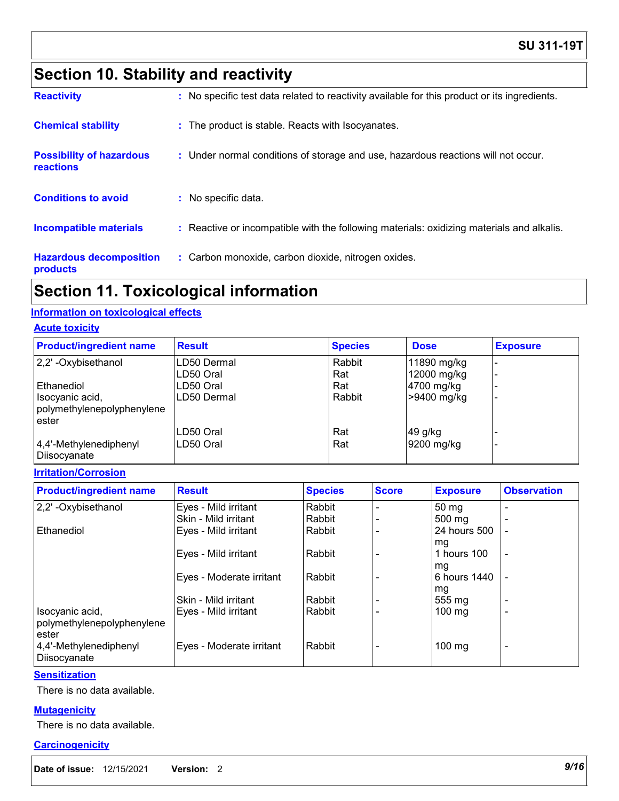# **Section 10. Stability and reactivity**

| <b>Reactivity</b>                            | : No specific test data related to reactivity available for this product or its ingredients. |
|----------------------------------------------|----------------------------------------------------------------------------------------------|
| <b>Chemical stability</b>                    | : The product is stable. Reacts with Isocyanates.                                            |
| <b>Possibility of hazardous</b><br>reactions | : Under normal conditions of storage and use, hazardous reactions will not occur.            |
| <b>Conditions to avoid</b>                   | : No specific data.                                                                          |
| Incompatible materials                       | : Reactive or incompatible with the following materials: oxidizing materials and alkalis.    |
| <b>Hazardous decomposition</b><br>products   | : Carbon monoxide, carbon dioxide, nitrogen oxides.                                          |

### **Section 11. Toxicological information**

### **Information on toxicological effects**

#### **Acute toxicity**

| <b>Product/ingredient name</b>         | <b>Result</b> | <b>Species</b> | <b>Dose</b> | <b>Exposure</b> |
|----------------------------------------|---------------|----------------|-------------|-----------------|
| 2,2' -Oxybisethanol                    | LD50 Dermal   | Rabbit         | 11890 mg/kg |                 |
|                                        | LD50 Oral     | Rat            | 12000 mg/kg |                 |
| Ethanediol                             | LD50 Oral     | Rat            | 4700 mg/kg  |                 |
| Isocyanic acid,                        | LD50 Dermal   | Rabbit         | >9400 mg/kg |                 |
| polymethylenepolyphenylene             |               |                |             |                 |
| ester                                  |               |                |             |                 |
|                                        | LD50 Oral     | Rat            | 49 g/kg     |                 |
| 4,4'-Methylenediphenyl<br>Diisocyanate | LD50 Oral     | Rat            | 9200 mg/kg  |                 |

#### **Irritation/Corrosion**

| <b>Product/ingredient name</b>         | <b>Result</b>            | <b>Species</b> | <b>Score</b> | <b>Exposure</b>    | <b>Observation</b>       |
|----------------------------------------|--------------------------|----------------|--------------|--------------------|--------------------------|
| 2,2' - Oxybisethanol                   | Eyes - Mild irritant     | Rabbit         |              | 50 mg              |                          |
|                                        | Skin - Mild irritant     | Rabbit         |              | $500 \text{ mg}$   |                          |
| Ethanediol                             | Eyes - Mild irritant     | Rabbit         |              | 24 hours 500       |                          |
|                                        |                          |                |              | mg                 |                          |
|                                        | Eyes - Mild irritant     | Rabbit         |              | 1 hours 100        | $\blacksquare$           |
|                                        |                          |                |              | mg<br>6 hours 1440 |                          |
|                                        | Eyes - Moderate irritant | Rabbit         |              |                    |                          |
|                                        | Skin - Mild irritant     | Rabbit         |              | mg<br>555 mg       | $\overline{\phantom{0}}$ |
| Isocyanic acid,                        | Eyes - Mild irritant     | Rabbit         |              | $100 \text{ mg}$   | $\overline{\phantom{0}}$ |
| polymethylenepolyphenylene             |                          |                |              |                    |                          |
| ester                                  |                          |                |              |                    |                          |
| 4,4'-Methylenediphenyl<br>Diisocyanate | Eyes - Moderate irritant | Rabbit         |              | 100 mg             | $\overline{\phantom{0}}$ |

#### **Sensitization**

There is no data available.

#### **Mutagenicity**

There is no data available.

#### **Carcinogenicity**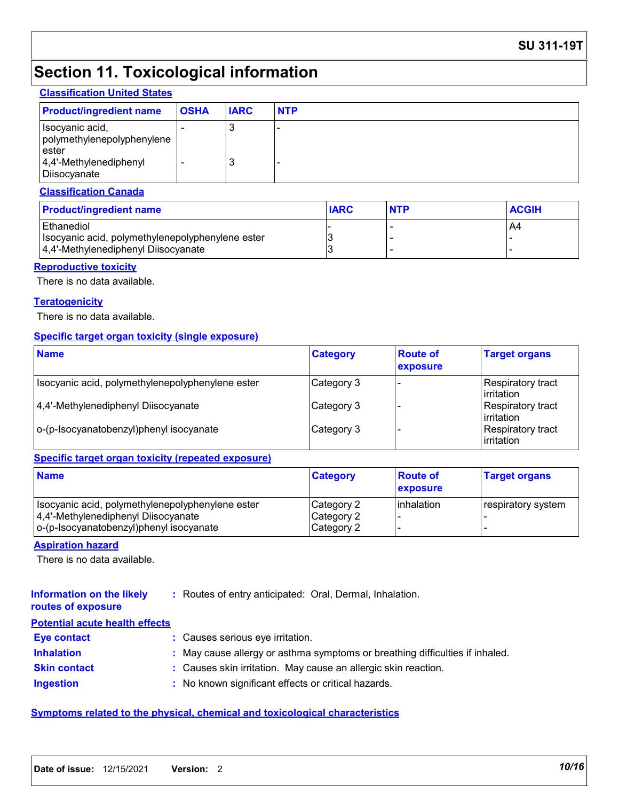### **SU 311-19T**

### **Section 11. Toxicological information**

#### **Classification United States**

| <b>Product/ingredient name</b>                                                                        | <b>OSHA</b> | <b>IARC</b> | <b>NTP</b> |
|-------------------------------------------------------------------------------------------------------|-------------|-------------|------------|
| Isocyanic acid,<br>polymethylenepolyphenylene<br>lester<br>$ 4,4'$ -Methylenediphenyl<br>Diisocyanate |             | 3<br>3      |            |

#### **Classification Canada**

| <b>Product/ingredient name</b>                   | <b>IARC</b> | <b>NTP</b> | <b>ACGIH</b> |
|--------------------------------------------------|-------------|------------|--------------|
| l Ethanediol                                     |             |            | A4           |
| Isocyanic acid, polymethylenepolyphenylene ester |             |            |              |
| 4,4'-Methylenediphenyl Diisocyanate              |             |            |              |

#### **Reproductive toxicity**

There is no data available.

#### **Teratogenicity**

There is no data available.

#### **Specific target organ toxicity (single exposure)**

| <b>Name</b>                                      | <b>Category</b> | <b>Route of</b><br>exposure | <b>Target organs</b>                   |
|--------------------------------------------------|-----------------|-----------------------------|----------------------------------------|
| Isocyanic acid, polymethylenepolyphenylene ester | Category 3      |                             | Respiratory tract<br>l irritation      |
| 4,4'-Methylenediphenyl Diisocyanate              | Category 3      |                             | Respiratory tract<br>l irritation      |
| o-(p-Isocyanatobenzyl)phenyl isocyanate          | Category 3      |                             | <b>Respiratory tract</b><br>irritation |

### **Specific target organ toxicity (repeated exposure)**

| <b>Name</b>                                                                                                                          | <b>Category</b>                        | <b>Route of</b><br>exposure | <b>Target organs</b> |
|--------------------------------------------------------------------------------------------------------------------------------------|----------------------------------------|-----------------------------|----------------------|
| Isocyanic acid, polymethylenepolyphenylene ester<br>4,4'-Methylenediphenyl Diisocyanate<br>  o-(p-Isocyanatobenzyl)phenyl isocyanate | Category 2<br>Category 2<br>Category 2 | l inhalation                | respiratory system   |

#### **Aspiration hazard**

There is no data available.

#### **Information on the likely routes of exposure :** Routes of entry anticipated: Oral, Dermal, Inhalation.

#### **Potential acute health effects**

| <b>Eve contact</b>  | : Causes serious eye irritation.                                             |
|---------------------|------------------------------------------------------------------------------|
| <b>Inhalation</b>   | : May cause allergy or asthma symptoms or breathing difficulties if inhaled. |
| <b>Skin contact</b> | : Causes skin irritation. May cause an allergic skin reaction.               |
| Ingestion           | : No known significant effects or critical hazards.                          |

#### **Symptoms related to the physical, chemical and toxicological characteristics**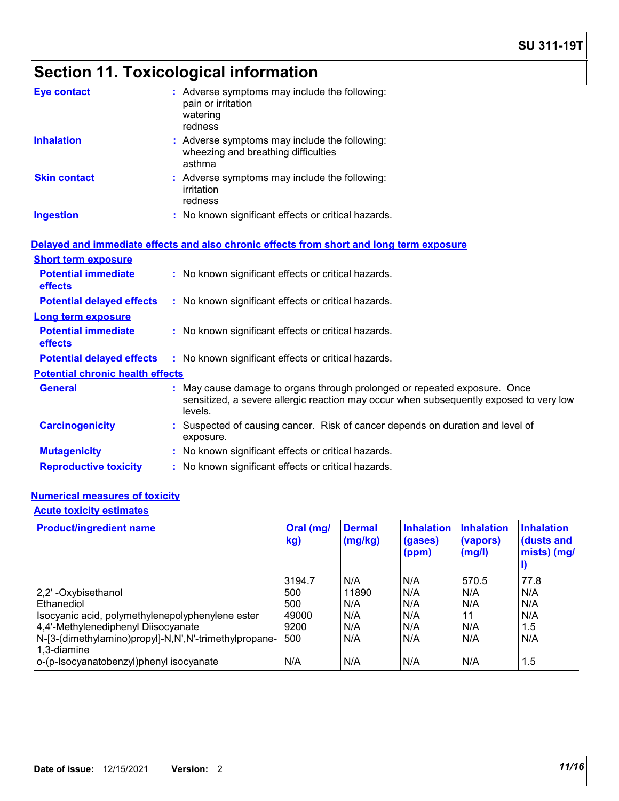# **Section 11. Toxicological information**

| <b>Eye contact</b>                      | : Adverse symptoms may include the following:<br>pain or irritation<br>watering<br>redness                                                                                     |
|-----------------------------------------|--------------------------------------------------------------------------------------------------------------------------------------------------------------------------------|
| <b>Inhalation</b>                       | : Adverse symptoms may include the following:<br>wheezing and breathing difficulties<br>asthma                                                                                 |
| <b>Skin contact</b>                     | : Adverse symptoms may include the following:<br>irritation<br>redness                                                                                                         |
| <b>Ingestion</b>                        | : No known significant effects or critical hazards.                                                                                                                            |
|                                         | Delayed and immediate effects and also chronic effects from short and long term exposure                                                                                       |
| <b>Short term exposure</b>              |                                                                                                                                                                                |
| <b>Potential immediate</b><br>effects   | : No known significant effects or critical hazards.                                                                                                                            |
| <b>Potential delayed effects</b>        | : No known significant effects or critical hazards.                                                                                                                            |
| <b>Long term exposure</b>               |                                                                                                                                                                                |
| <b>Potential immediate</b><br>effects   | : No known significant effects or critical hazards.                                                                                                                            |
| <b>Potential delayed effects</b>        | : No known significant effects or critical hazards.                                                                                                                            |
| <b>Potential chronic health effects</b> |                                                                                                                                                                                |
| <b>General</b>                          | : May cause damage to organs through prolonged or repeated exposure. Once<br>sensitized, a severe allergic reaction may occur when subsequently exposed to very low<br>levels. |
| <b>Carcinogenicity</b>                  | : Suspected of causing cancer. Risk of cancer depends on duration and level of<br>exposure.                                                                                    |
| <b>Mutagenicity</b>                     | : No known significant effects or critical hazards.                                                                                                                            |
| <b>Reproductive toxicity</b>            | : No known significant effects or critical hazards.                                                                                                                            |
|                                         |                                                                                                                                                                                |

### **Numerical measures of toxicity**

### **Acute toxicity estimates**

| <b>Product/ingredient name</b>                                       | Oral (mg/<br>kg) | <b>Dermal</b><br>(mg/kg) | <b>Inhalation</b><br>(gases)<br>(ppm) | <b>Inhalation</b><br>(vapors)<br>(mg/l) | <b>Inhalation</b><br>(dusts and<br>mists) (mg/ |
|----------------------------------------------------------------------|------------------|--------------------------|---------------------------------------|-----------------------------------------|------------------------------------------------|
|                                                                      | 3194.7           | N/A                      | N/A                                   | 570.5                                   | 77.8                                           |
| 2,2'-Oxybisethanol                                                   | <b>1500</b>      | 11890                    | N/A                                   | N/A                                     | N/A                                            |
| Ethanediol                                                           | 500              | N/A                      | N/A                                   | N/A                                     | N/A                                            |
| Isocyanic acid, polymethylenepolyphenylene ester                     | 49000            | N/A                      | N/A                                   | 11                                      | N/A                                            |
| 4,4'-Methylenediphenyl Diisocyanate                                  | 9200             | N/A                      | N/A                                   | N/A                                     | 1.5                                            |
| N-[3-(dimethylamino)propyl]-N,N',N'-trimethylpropane-<br>1.3-diamine | 500              | N/A                      | N/A                                   | N/A                                     | N/A                                            |
| o-(p-Isocyanatobenzyl)phenyl isocyanate                              | N/A              | N/A                      | N/A                                   | N/A                                     | 1.5                                            |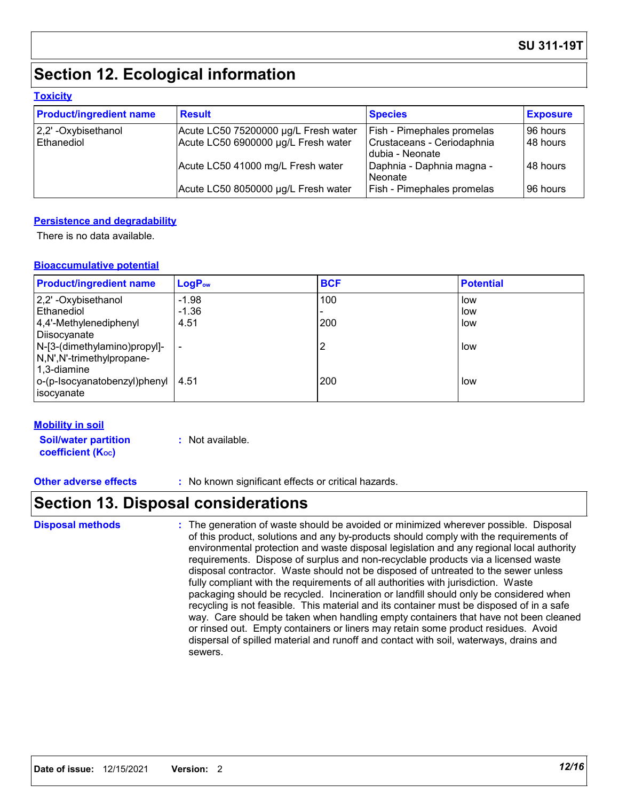# **Section 12. Ecological information**

#### **Toxicity**

| <b>Product/ingredient name</b> | <b>Result</b>                        | <b>Species</b>                                | <b>Exposure</b> |
|--------------------------------|--------------------------------------|-----------------------------------------------|-----------------|
| $ 2,2$ ' -Oxybisethanol        | Acute LC50 75200000 µg/L Fresh water | <b>Fish - Pimephales promelas</b>             | 96 hours        |
| Ethanediol                     | Acute LC50 6900000 µg/L Fresh water  | Crustaceans - Ceriodaphnia<br>dubia - Neonate | 48 hours        |
|                                | Acute LC50 41000 mg/L Fresh water    | Daphnia - Daphnia magna -<br>l Neonate        | l 48 hours      |
|                                | Acute LC50 8050000 µg/L Fresh water  | <b>Fish - Pimephales promelas</b>             | 196 hours       |

#### **Persistence and degradability**

There is no data available.

#### **Bioaccumulative potential**

| <b>Product/ingredient name</b>          | $LogP_{ow}$ | <b>BCF</b> | <b>Potential</b> |
|-----------------------------------------|-------------|------------|------------------|
| 2,2'-Oxybisethanol                      | $-1.98$     | 100        | low              |
| l Ethanediol                            | $-1.36$     |            | low              |
| 4,4'-Methylenediphenyl                  | 4.51        | 200        | low              |
| Diisocyanate                            |             |            |                  |
| N-[3-(dimethylamino)propyl]-            |             |            | low              |
| N,N',N'-trimethylpropane-               |             |            |                  |
| 1,3-diamine                             |             |            |                  |
| $ o$ -(p-Isocyanatobenzyl)phenyl   4.51 |             | 200        | low              |
| isocyanate                              |             |            |                  |

#### **Mobility in soil**

**Soil/water partition coefficient (K**<sub>oc</sub>) **:** Not available.

**Other adverse effects** : No known significant effects or critical hazards.

### **Section 13. Disposal considerations**

The generation of waste should be avoided or minimized wherever possible. Disposal of this product, solutions and any by-products should comply with the requirements of environmental protection and waste disposal legislation and any regional local authority requirements. Dispose of surplus and non-recyclable products via a licensed waste disposal contractor. Waste should not be disposed of untreated to the sewer unless fully compliant with the requirements of all authorities with jurisdiction. Waste packaging should be recycled. Incineration or landfill should only be considered when recycling is not feasible. This material and its container must be disposed of in a safe way. Care should be taken when handling empty containers that have not been cleaned or rinsed out. Empty containers or liners may retain some product residues. Avoid dispersal of spilled material and runoff and contact with soil, waterways, drains and sewers. **Disposal methods :**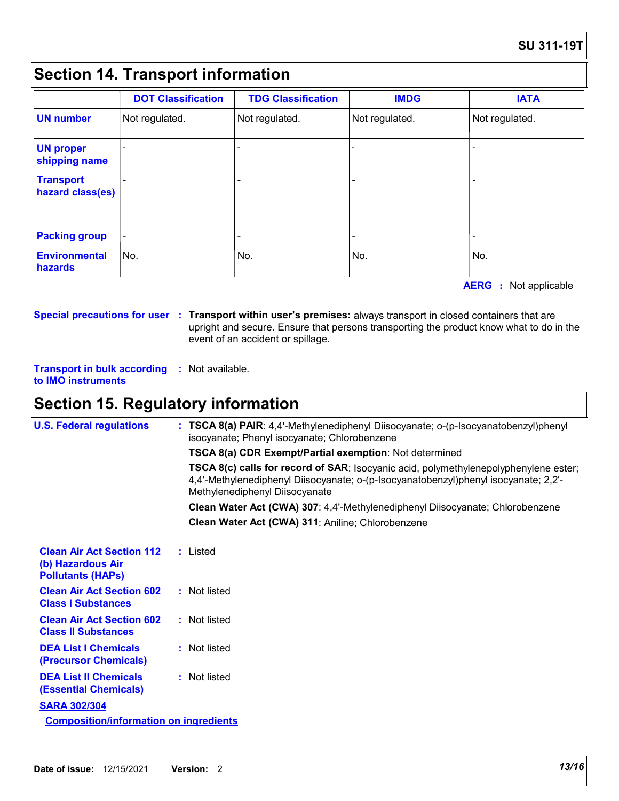### **Section 14. Transport information**

|                                      | <b>DOT Classification</b> | <b>TDG Classification</b> | <b>IMDG</b>    | <b>IATA</b>    |
|--------------------------------------|---------------------------|---------------------------|----------------|----------------|
| <b>UN number</b>                     | Not regulated.            | Not regulated.            | Not regulated. | Not regulated. |
| <b>UN proper</b><br>shipping name    |                           |                           |                |                |
| <b>Transport</b><br>hazard class(es) |                           | -                         |                |                |
| <b>Packing group</b>                 | $\overline{\phantom{a}}$  |                           |                |                |
| <b>Environmental</b><br>hazards      | No.                       | No.                       | No.            | No.            |

**AERG** : Not applicable

**Special precautions for user Transport within user's premises:** always transport in closed containers that are **:** upright and secure. Ensure that persons transporting the product know what to do in the event of an accident or spillage.

**Transport in bulk according :** Not available. **to IMO instruments**

### **Section 15. Regulatory information**

| <b>U.S. Federal regulations</b>                                                   | : TSCA 8(a) PAIR: 4,4'-Methylenediphenyl Diisocyanate; o-(p-Isocyanatobenzyl)phenyl<br>isocyanate; Phenyl isocyanate; Chlorobenzene                                                                           |  |
|-----------------------------------------------------------------------------------|---------------------------------------------------------------------------------------------------------------------------------------------------------------------------------------------------------------|--|
|                                                                                   | TSCA 8(a) CDR Exempt/Partial exemption: Not determined                                                                                                                                                        |  |
|                                                                                   | TSCA 8(c) calls for record of SAR: Isocyanic acid, polymethylenepolyphenylene ester;<br>4,4'-Methylenediphenyl Diisocyanate; o-(p-Isocyanatobenzyl)phenyl isocyanate; 2,2'-<br>Methylenediphenyl Diisocyanate |  |
|                                                                                   | Clean Water Act (CWA) 307: 4,4'-Methylenediphenyl Diisocyanate; Chlorobenzene                                                                                                                                 |  |
|                                                                                   | Clean Water Act (CWA) 311: Aniline; Chlorobenzene                                                                                                                                                             |  |
| <b>Clean Air Act Section 112</b><br>(b) Hazardous Air<br><b>Pollutants (HAPS)</b> | : Listed                                                                                                                                                                                                      |  |
| <b>Clean Air Act Section 602</b><br><b>Class I Substances</b>                     | : Not listed                                                                                                                                                                                                  |  |
| <b>Clean Air Act Section 602</b><br><b>Class II Substances</b>                    | : Not listed                                                                                                                                                                                                  |  |
| <b>DEA List I Chemicals</b><br>(Precursor Chemicals)                              | : Not listed                                                                                                                                                                                                  |  |
| <b>DEA List II Chemicals</b><br><b>(Essential Chemicals)</b>                      | : Not listed                                                                                                                                                                                                  |  |
| <b>SARA 302/304</b>                                                               |                                                                                                                                                                                                               |  |
| <b>Composition/information on ingredients</b>                                     |                                                                                                                                                                                                               |  |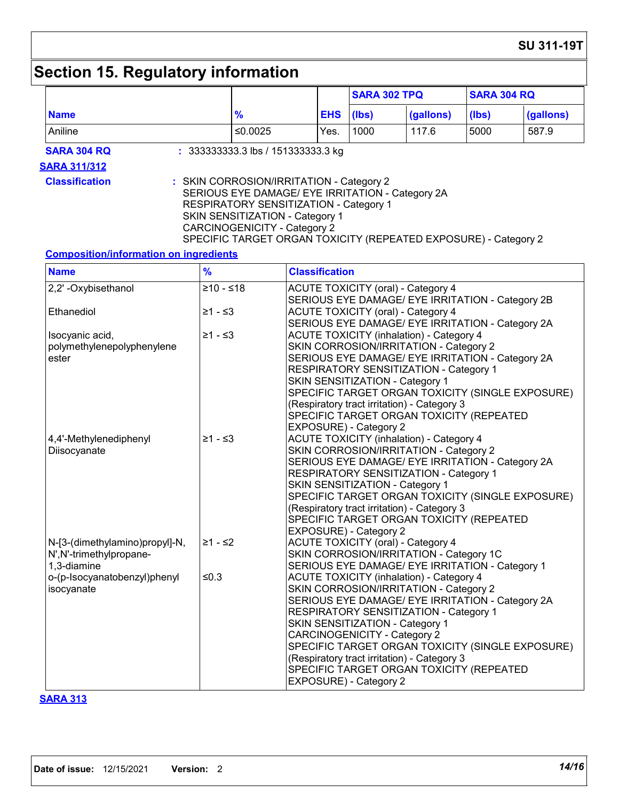# **Section 15. Regulatory information**

|                                                                           |                                                                                                                                                                                                                                                                                     |                                                                                                                                                                                                                                                                                                                                                                                                                                                                                                                                                                                                                                                                                                                                                                                                                                                                |                       | <b>SARA 302 TPQ</b>                                                                              |                                                                                                                                                                                                                                                                                    | <b>SARA 304 RQ</b> |                                                  |
|---------------------------------------------------------------------------|-------------------------------------------------------------------------------------------------------------------------------------------------------------------------------------------------------------------------------------------------------------------------------------|----------------------------------------------------------------------------------------------------------------------------------------------------------------------------------------------------------------------------------------------------------------------------------------------------------------------------------------------------------------------------------------------------------------------------------------------------------------------------------------------------------------------------------------------------------------------------------------------------------------------------------------------------------------------------------------------------------------------------------------------------------------------------------------------------------------------------------------------------------------|-----------------------|--------------------------------------------------------------------------------------------------|------------------------------------------------------------------------------------------------------------------------------------------------------------------------------------------------------------------------------------------------------------------------------------|--------------------|--------------------------------------------------|
| <b>Name</b>                                                               | $\frac{9}{6}$                                                                                                                                                                                                                                                                       |                                                                                                                                                                                                                                                                                                                                                                                                                                                                                                                                                                                                                                                                                                                                                                                                                                                                | <b>EHS</b>            | (Ibs)                                                                                            | (gallons)                                                                                                                                                                                                                                                                          | (lbs)              | (gallons)                                        |
| Aniline                                                                   | ≤0.0025                                                                                                                                                                                                                                                                             |                                                                                                                                                                                                                                                                                                                                                                                                                                                                                                                                                                                                                                                                                                                                                                                                                                                                | Yes.                  | 1000                                                                                             | 117.6                                                                                                                                                                                                                                                                              | 5000               | 587.9                                            |
| <b>SARA 304 RQ</b>                                                        | : 333333333.3 lbs / 151333333.3 kg                                                                                                                                                                                                                                                  |                                                                                                                                                                                                                                                                                                                                                                                                                                                                                                                                                                                                                                                                                                                                                                                                                                                                |                       |                                                                                                  |                                                                                                                                                                                                                                                                                    |                    |                                                  |
| <b>SARA 311/312</b>                                                       |                                                                                                                                                                                                                                                                                     |                                                                                                                                                                                                                                                                                                                                                                                                                                                                                                                                                                                                                                                                                                                                                                                                                                                                |                       |                                                                                                  |                                                                                                                                                                                                                                                                                    |                    |                                                  |
| <b>Classification</b>                                                     | : SKIN CORROSION/IRRITATION - Category 2<br>SERIOUS EYE DAMAGE/ EYE IRRITATION - Category 2A<br>RESPIRATORY SENSITIZATION - Category 1<br>SKIN SENSITIZATION - Category 1<br><b>CARCINOGENICITY - Category 2</b><br>SPECIFIC TARGET ORGAN TOXICITY (REPEATED EXPOSURE) - Category 2 |                                                                                                                                                                                                                                                                                                                                                                                                                                                                                                                                                                                                                                                                                                                                                                                                                                                                |                       |                                                                                                  |                                                                                                                                                                                                                                                                                    |                    |                                                  |
| <b>Composition/information on ingredients</b>                             |                                                                                                                                                                                                                                                                                     |                                                                                                                                                                                                                                                                                                                                                                                                                                                                                                                                                                                                                                                                                                                                                                                                                                                                |                       |                                                                                                  |                                                                                                                                                                                                                                                                                    |                    |                                                  |
| <b>Name</b>                                                               | $\frac{9}{6}$                                                                                                                                                                                                                                                                       |                                                                                                                                                                                                                                                                                                                                                                                                                                                                                                                                                                                                                                                                                                                                                                                                                                                                | <b>Classification</b> |                                                                                                  |                                                                                                                                                                                                                                                                                    |                    |                                                  |
| 2,2' - Oxybisethanol                                                      | $≥10 - ≤18$                                                                                                                                                                                                                                                                         |                                                                                                                                                                                                                                                                                                                                                                                                                                                                                                                                                                                                                                                                                                                                                                                                                                                                |                       | <b>ACUTE TOXICITY (oral) - Category 4</b>                                                        |                                                                                                                                                                                                                                                                                    |                    |                                                  |
| Ethanediol                                                                | ≥1 - ≤3                                                                                                                                                                                                                                                                             |                                                                                                                                                                                                                                                                                                                                                                                                                                                                                                                                                                                                                                                                                                                                                                                                                                                                |                       | <b>ACUTE TOXICITY (oral) - Category 4</b>                                                        | SERIOUS EYE DAMAGE/ EYE IRRITATION - Category 2B                                                                                                                                                                                                                                   |                    |                                                  |
| Isocyanic acid,<br>polymethylenepolyphenylene<br>ester                    | ≥1 - ≤3                                                                                                                                                                                                                                                                             | SERIOUS EYE DAMAGE/ EYE IRRITATION - Category 2A<br><b>ACUTE TOXICITY (inhalation) - Category 4</b><br>SKIN CORROSION/IRRITATION - Category 2<br>SERIOUS EYE DAMAGE/ EYE IRRITATION - Category 2A<br>RESPIRATORY SENSITIZATION - Category 1<br>SKIN SENSITIZATION - Category 1<br>SPECIFIC TARGET ORGAN TOXICITY (SINGLE EXPOSURE)<br>(Respiratory tract irritation) - Category 3<br>SPECIFIC TARGET ORGAN TOXICITY (REPEATED<br>EXPOSURE) - Category 2<br><b>ACUTE TOXICITY (inhalation) - Category 4</b><br>SKIN CORROSION/IRRITATION - Category 2<br>SERIOUS EYE DAMAGE/ EYE IRRITATION - Category 2A<br>RESPIRATORY SENSITIZATION - Category 1<br>SKIN SENSITIZATION - Category 1<br>SPECIFIC TARGET ORGAN TOXICITY (SINGLE EXPOSURE)<br>(Respiratory tract irritation) - Category 3<br>SPECIFIC TARGET ORGAN TOXICITY (REPEATED<br>EXPOSURE) - Category 2 |                       |                                                                                                  |                                                                                                                                                                                                                                                                                    |                    |                                                  |
| 4,4'-Methylenediphenyl<br>Diisocyanate                                    | ≥1 - ≤3                                                                                                                                                                                                                                                                             |                                                                                                                                                                                                                                                                                                                                                                                                                                                                                                                                                                                                                                                                                                                                                                                                                                                                |                       |                                                                                                  |                                                                                                                                                                                                                                                                                    |                    |                                                  |
| N-[3-(dimethylamino)propyl]-N,<br>N', N'-trimethylpropane-<br>1,3-diamine | 21 - ≤2                                                                                                                                                                                                                                                                             |                                                                                                                                                                                                                                                                                                                                                                                                                                                                                                                                                                                                                                                                                                                                                                                                                                                                |                       | <b>ACUTE TOXICITY (oral) - Category 4</b>                                                        | SKIN CORROSION/IRRITATION - Category 1C<br>SERIOUS EYE DAMAGE/ EYE IRRITATION - Category 1                                                                                                                                                                                         |                    |                                                  |
| o-(p-Isocyanatobenzyl)phenyl<br>isocyanate                                | ≤0.3                                                                                                                                                                                                                                                                                |                                                                                                                                                                                                                                                                                                                                                                                                                                                                                                                                                                                                                                                                                                                                                                                                                                                                |                       | SKIN SENSITIZATION - Category 1<br><b>CARCINOGENICITY - Category 2</b><br>EXPOSURE) - Category 2 | <b>ACUTE TOXICITY (inhalation) - Category 4</b><br>SKIN CORROSION/IRRITATION - Category 2<br>SERIOUS EYE DAMAGE/ EYE IRRITATION - Category 2A<br>RESPIRATORY SENSITIZATION - Category 1<br>(Respiratory tract irritation) - Category 3<br>SPECIFIC TARGET ORGAN TOXICITY (REPEATED |                    | SPECIFIC TARGET ORGAN TOXICITY (SINGLE EXPOSURE) |

### **SARA 313**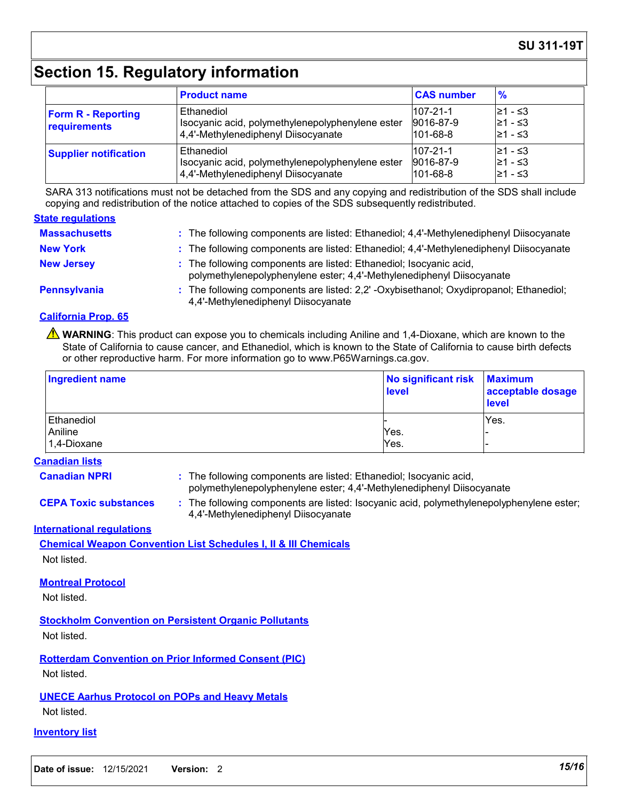### **SU 311-19T**

## **Section 15. Regulatory information**

|                                           | <b>Product name</b>                                                                                   | <b>CAS number</b>                             | $\frac{9}{6}$                    |
|-------------------------------------------|-------------------------------------------------------------------------------------------------------|-----------------------------------------------|----------------------------------|
| <b>Form R - Reporting</b><br>requirements | Ethanediol<br>Isocyanic acid, polymethylenepolyphenylene ester<br>4,4'-Methylenediphenyl Diisocyanate | $107 - 21 - 1$<br>9016-87-9<br>$101 - 68 - 8$ | 21 - ≤3<br>l≥1 - ≤3<br>21 - ≤3   |
| <b>Supplier notification</b>              | Ethanediol<br>Isocyanic acid, polymethylenepolyphenylene ester<br>4,4'-Methylenediphenyl Diisocyanate | $107 - 21 - 1$<br>9016-87-9<br>$101 - 68 - 8$ | l≥1 - ≤3<br>l≥1 - ≤3<br>l≥1 - ≤3 |

SARA 313 notifications must not be detached from the SDS and any copying and redistribution of the SDS shall include copying and redistribution of the notice attached to copies of the SDS subsequently redistributed.

#### **State regulations**

| <b>Massachusetts</b> | : The following components are listed: Ethanediol; 4,4'-Methylenediphenyl Diisocyanate                                                      |
|----------------------|---------------------------------------------------------------------------------------------------------------------------------------------|
| <b>New York</b>      | : The following components are listed: Ethanediol; 4,4'-Methylenediphenyl Diisocyanate                                                      |
| <b>New Jersey</b>    | : The following components are listed: Ethanediol; Isocyanic acid,<br>polymethylenepolyphenylene ester; 4,4'-Methylenediphenyl Diisocyanate |
| Pennsylvania         | : The following components are listed: 2,2' -Oxybisethanol; Oxydipropanol; Ethanediol;<br>4,4'-Methylenediphenyl Diisocyanate               |

#### **California Prop. 65**

**A** WARNING: This product can expose you to chemicals including Aniline and 1,4-Dioxane, which are known to the State of California to cause cancer, and Ethanediol, which is known to the State of California to cause birth defects or other reproductive harm. For more information go to www.P65Warnings.ca.gov.

| Ingredient name | No significant risk   Maximum<br>level | acceptable dosage<br><b>level</b> |
|-----------------|----------------------------------------|-----------------------------------|
| Ethanediol      |                                        | Yes.                              |
| Aniline         | Yes.                                   |                                   |
| 1,4-Dioxane     | Yes.                                   |                                   |

#### **Canadian lists**

**Canadian NPRI :**

: The following components are listed: Ethanediol; Isocyanic acid, polymethylenepolyphenylene ester; 4,4'-Methylenediphenyl Diisocyanate

**CEPA Toxic substances :** The following components are listed: Isocyanic acid, polymethylenepolyphenylene ester; 4,4'-Methylenediphenyl Diisocyanate

#### **International regulations**

**Chemical Weapon Convention List Schedules I, II & III Chemicals** Not listed.

#### **Montreal Protocol**

Not listed.

**Stockholm Convention on Persistent Organic Pollutants** Not listed.

**Rotterdam Convention on Prior Informed Consent (PIC)** Not listed.

### **UNECE Aarhus Protocol on POPs and Heavy Metals**

Not listed.

#### **Inventory list**